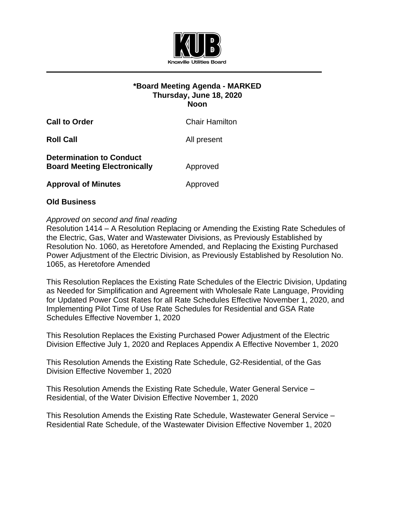

# **\*Board Meeting Agenda - MARKED Thursday, June 18, 2020 Noon**

**Call to Order** Chair Hamilton

**Roll Call All present** 

**Determination to Conduct Board Meeting Electronically Approved** 

**Approval of Minutes Approved** 

# **Old Business**

# *Approved on second and final reading*

Resolution 1414 – A Resolution Replacing or Amending the Existing Rate Schedules of the Electric, Gas, Water and Wastewater Divisions, as Previously Established by Resolution No. 1060, as Heretofore Amended, and Replacing the Existing Purchased Power Adjustment of the Electric Division, as Previously Established by Resolution No. 1065, as Heretofore Amended

This Resolution Replaces the Existing Rate Schedules of the Electric Division, Updating as Needed for Simplification and Agreement with Wholesale Rate Language, Providing for Updated Power Cost Rates for all Rate Schedules Effective November 1, 2020, and Implementing Pilot Time of Use Rate Schedules for Residential and GSA Rate Schedules Effective November 1, 2020

This Resolution Replaces the Existing Purchased Power Adjustment of the Electric Division Effective July 1, 2020 and Replaces Appendix A Effective November 1, 2020

This Resolution Amends the Existing Rate Schedule, G2-Residential, of the Gas Division Effective November 1, 2020

This Resolution Amends the Existing Rate Schedule, Water General Service – Residential, of the Water Division Effective November 1, 2020

This Resolution Amends the Existing Rate Schedule, Wastewater General Service – Residential Rate Schedule, of the Wastewater Division Effective November 1, 2020